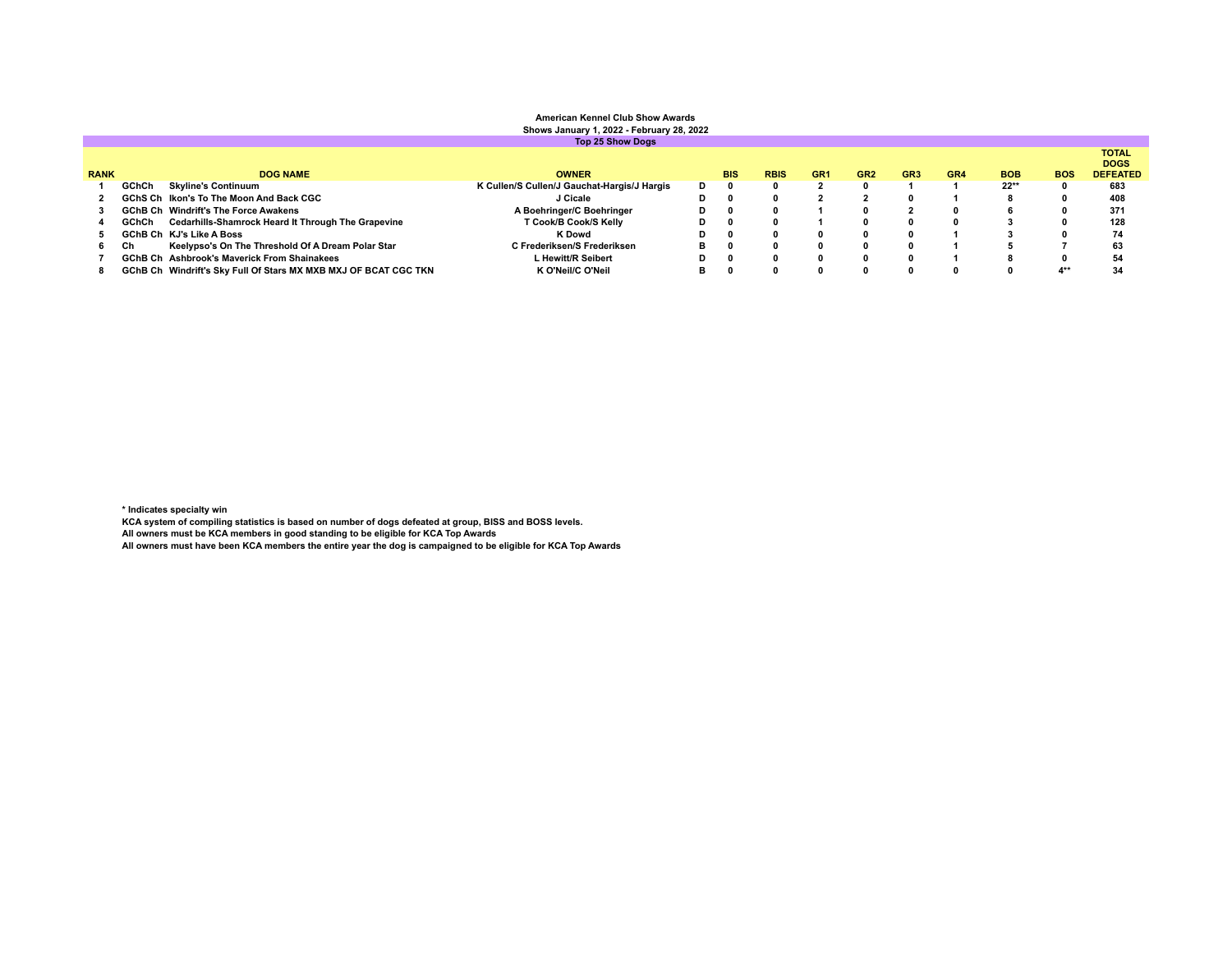**Top 25 Show Dogs RANK DOG NAME OWNER BIS RBIS GR1 GR2 GR3 GR4 BOB BOS** TOTAL<br>DOGS<br>DEFEATED<br>683 **GChCh Skyline's Continuum K Cullen/S Cullen/J Gauchat-Hargis/J Hargis D 0 0 2 0 1 1 22\*\* 0 683 GChS Ch Ikon's To The Moon And Back CGC J Cicale D 0 0 2 2 0 1 8 0 408 GChB Ch Windrift's The Force Awakens A Boehringer/C Boehringer D 0 0 1 0 2 0 6 0 371 GChCh Cedarhills-Shamrock Heard It Through The Grapevine T Cook/B Cook/S Kelly D 0 0 1 0 0 0 3 0 128 GChB Ch KJ's Like A Boss K Dowd D 0 0 0 0 0 1 3 0 74 Ch Keelypso's On The Threshold Of A Dream Polar Star C Frederiksen/S Frederiksen B 0 0 0 0 0 1 5 7 63 GChB Ch Ashbrook's Maverick From Shainakees L Hewitt/R Seibert D 0 0 0 0 0 1 8 0 54 GChB Ch Windrift's Sky Full Of Stars MX MXB MXJ OF BCAT CGC TKN K O'Neil/C O'Neil B 0 0 0 0 0 0 0 4\*\* 34**

**\* Indicates specialty win**

**KCA system of compiling statistics is based on number of dogs defeated at group, BISS and BOSS levels.**

**All owners must be KCA members in good standing to be eligible for KCA Top Awards**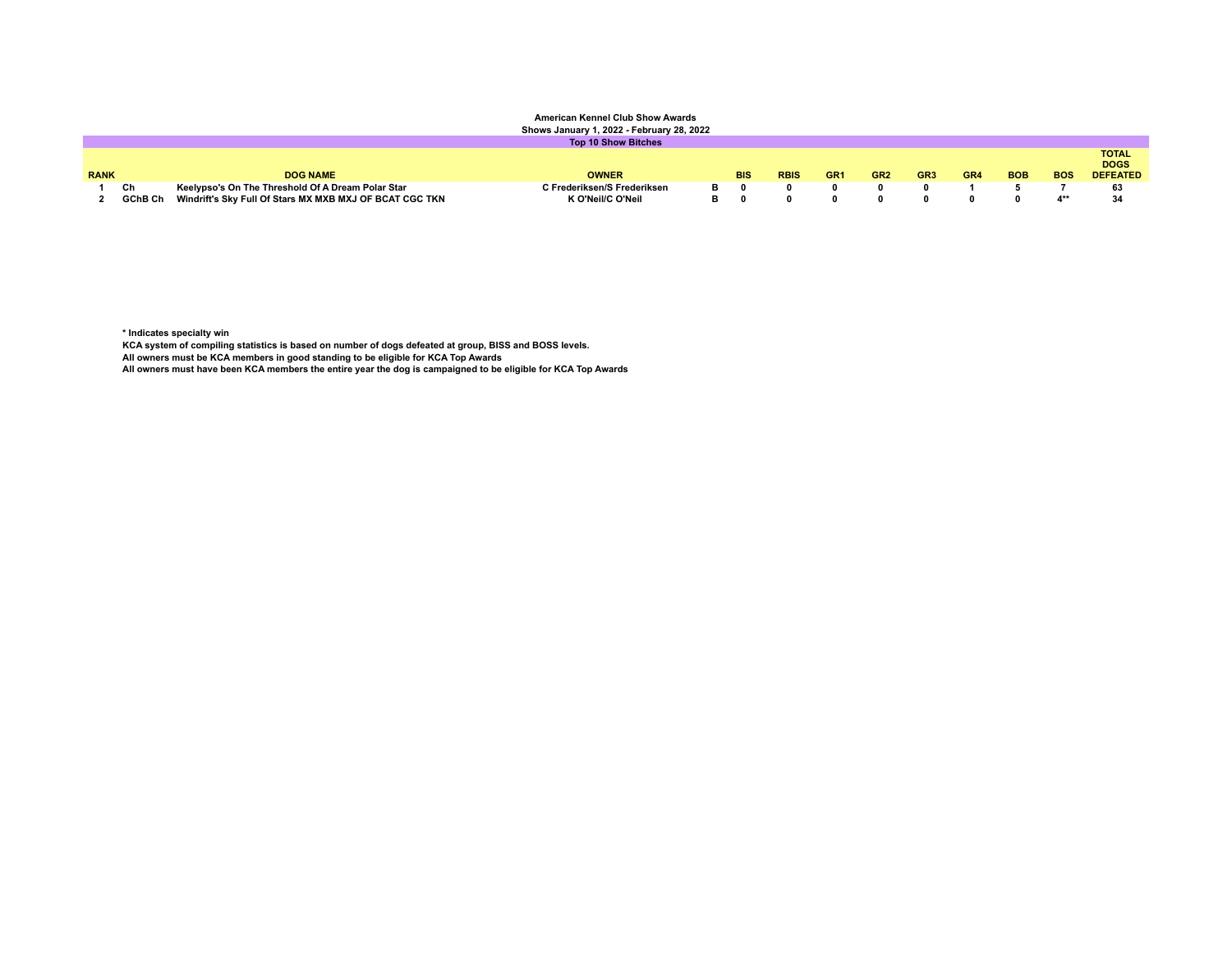| UIIUWS Udiludiy I, LULL I UDIUdiy LU, LULL |    |                                                                 |                             |  |            |             |                 |                 |                 |     |            |            |                                                |
|--------------------------------------------|----|-----------------------------------------------------------------|-----------------------------|--|------------|-------------|-----------------|-----------------|-----------------|-----|------------|------------|------------------------------------------------|
| <b>Top 10 Show Bitches</b>                 |    |                                                                 |                             |  |            |             |                 |                 |                 |     |            |            |                                                |
| <b>RANK</b>                                |    | <b>DOG NAME</b>                                                 | <b>OWNER</b>                |  | <b>BIS</b> | <b>RBIS</b> | GR <sub>1</sub> | GR <sub>2</sub> | GR <sub>3</sub> | GR4 | <b>BOB</b> | <b>BOS</b> | <b>TOTAL</b><br><b>DOGS</b><br><b>DEFEATED</b> |
|                                            | Ch | Keelypso's On The Threshold Of A Dream Polar Star               | C Frederiksen/S Frederiksen |  |            |             |                 |                 |                 |     |            |            | 63                                             |
|                                            |    | GChB Ch Windrift's Sky Full Of Stars MX MXB MXJ OF BCAT CGC TKN | K O'Neil/C O'Neil           |  |            |             |                 |                 |                 |     |            |            | 34                                             |

**\* Indicates specialty win**

**KCA system of compiling statistics is based on number of dogs defeated at group, BISS and BOSS levels.**

**All owners must be KCA members in good standing to be eligible for KCA Top Awards**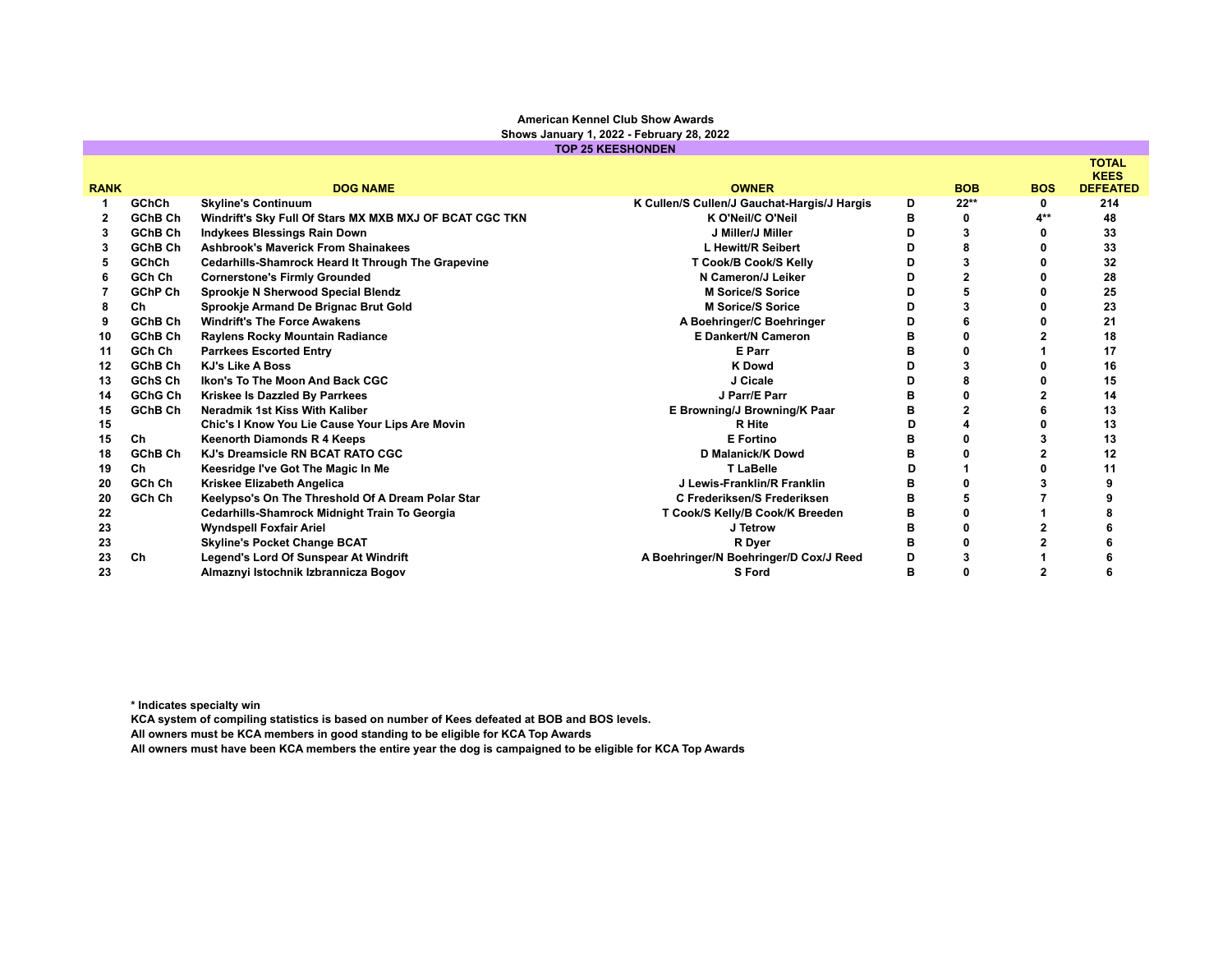| <b>TOP 25 KEESHONDEN</b> |                |                                                         |                                             |   |                |            |                             |  |  |
|--------------------------|----------------|---------------------------------------------------------|---------------------------------------------|---|----------------|------------|-----------------------------|--|--|
|                          |                |                                                         |                                             |   |                |            | <b>TOTAL</b><br><b>KEES</b> |  |  |
| <b>RANK</b>              |                | <b>DOG NAME</b>                                         | <b>OWNER</b>                                |   | <b>BOB</b>     | <b>BOS</b> | <b>DEFEATED</b>             |  |  |
|                          | <b>GChCh</b>   | <b>Skyline's Continuum</b>                              | K Cullen/S Cullen/J Gauchat-Hargis/J Hargis | D | $22**$         | 0          | 214                         |  |  |
|                          | GChB Ch        | Windrift's Sky Full Of Stars MX MXB MXJ OF BCAT CGC TKN | K O'Neil/C O'Neil                           | в | 0              | 4**        | 48                          |  |  |
| 3                        | <b>GChB Ch</b> | <b>Indykees Blessings Rain Down</b>                     | J Miller/J Miller                           | n | 3              |            | 33                          |  |  |
| 3                        | GChB Ch        | <b>Ashbrook's Maverick From Shainakees</b>              | L Hewitt/R Seibert                          | D | 8              |            | 33                          |  |  |
| 5                        | GChCh          | Cedarhills-Shamrock Heard It Through The Grapevine      | T Cook/B Cook/S Kelly                       | D | 3              |            | 32                          |  |  |
| 6                        | GCh Ch         | <b>Cornerstone's Firmly Grounded</b>                    | N Cameron/J Leiker                          | D | $\overline{2}$ |            | 28                          |  |  |
|                          | <b>GChP Ch</b> | Sprookje N Sherwood Special Blendz                      | <b>M Sorice/S Sorice</b>                    | D |                |            | 25                          |  |  |
|                          | Ch             | Sprookje Armand De Brignac Brut Gold                    | <b>M Sorice/S Sorice</b>                    | n | 3              |            | 23                          |  |  |
| 9                        | GChB Ch        | <b>Windrift's The Force Awakens</b>                     | A Boehringer/C Boehringer                   | D | 6              |            | 21                          |  |  |
| 10                       | GChB Ch        | Raylens Rocky Mountain Radiance                         | <b>E Dankert/N Cameron</b>                  | в | 0              |            | 18                          |  |  |
| 11                       | GCh Ch         | <b>Parrkees Escorted Entry</b>                          | E Parr                                      |   |                |            | 17                          |  |  |
| 12                       | GChB Ch        | <b>KJ's Like A Boss</b>                                 | <b>K</b> Dowd                               | n | 3              |            | 16                          |  |  |
| 13                       | GChS Ch        | Ikon's To The Moon And Back CGC                         | J Cicale                                    | D | 8              |            | 15                          |  |  |
| 14                       | GChG Ch        | Kriskee Is Dazzled By Parrkees                          | J Parr/E Parr                               | в | $\mathbf{0}$   |            | 14                          |  |  |
| 15                       | GChB Ch        | Neradmik 1st Kiss With Kaliber                          | E Browning/J Browning/K Paar                | в | $\overline{2}$ |            | 13                          |  |  |
| 15                       |                | Chic's I Know You Lie Cause Your Lips Are Movin         | <b>R</b> Hite                               | D | 4              |            | 13                          |  |  |
| 15                       | Ch             | <b>Keenorth Diamonds R 4 Keeps</b>                      | <b>E</b> Fortino                            | в | ŋ              |            | 13                          |  |  |
| 18                       | GChB Ch        | KJ's Dreamsicle RN BCAT RATO CGC                        | <b>D Malanick/K Dowd</b>                    | в | n              |            | 12                          |  |  |
| 19                       | Ch.            | Keesridge I've Got The Magic In Me                      | <b>T LaBelle</b>                            | ח |                |            | 11                          |  |  |
| 20                       | GCh Ch         | Kriskee Elizabeth Angelica                              | J Lewis-Franklin/R Franklin                 | в | ŋ              |            |                             |  |  |
| 20                       | GCh Ch         | Keelypso's On The Threshold Of A Dream Polar Star       | C Frederiksen/S Frederiksen                 | R |                |            |                             |  |  |
| 22                       |                | Cedarhills-Shamrock Midnight Train To Georgia           | T Cook/S Kelly/B Cook/K Breeden             | в | 0              |            |                             |  |  |
| 23                       |                | <b>Wyndspell Foxfair Ariel</b>                          | J Tetrow                                    | в | 0              |            |                             |  |  |
| 23                       |                | <b>Skyline's Pocket Change BCAT</b>                     | R Dyer                                      | в | 0              |            |                             |  |  |
| 23                       | Ch             | Legend's Lord Of Sunspear At Windrift                   | A Boehringer/N Boehringer/D Cox/J Reed      | D | 3              |            |                             |  |  |
| 23                       |                | Almaznyi Istochnik Izbrannicza Bogov                    | S Ford                                      | в |                |            |                             |  |  |

**\* Indicates specialty win**

**KCA system of compiling statistics is based on number of Kees defeated at BOB and BOS levels.**

**All owners must be KCA members in good standing to be eligible for KCA Top Awards**